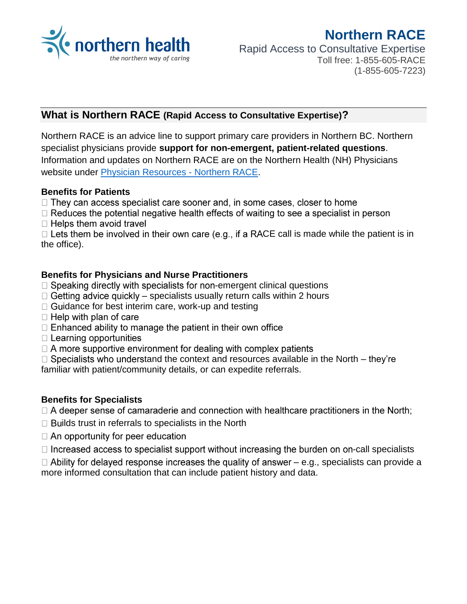

# **Northern RACE** Rapid Access to Consultative Expertise Toll free: 1-855-605-RACE (1-855-605-7223)

# **What is Northern RACE (Rapid Access to Consultative Expertise)?**

Northern RACE is an advice line to support primary care providers in Northern BC. Northern specialist physicians provide **support for non-emergent, patient-related questions**. Information and updates on Northern RACE are on the Northern Health (NH) Physicians website under [Physician Resources -](https://physicians.northernhealth.ca/physician-resources/northern-race) Northern RACE.

#### **Benefits for Patients**

- $\Box$  They can access specialist care sooner and, in some cases, closer to home
- $\Box$  Reduces the potential negative health effects of waiting to see a specialist in person  $\Box$  Helps them avoid travel
- $\Box$  Lets them be involved in their own care (e.g., if a RACE call is made while the patient is in the office).

### **Benefits for Physicians and Nurse Practitioners**

- $\Box$  Speaking directly with specialists for non-emergent clinical questions
- $\Box$  Getting advice quickly specialists usually return calls within 2 hours
- $\Box$  Guidance for best interim care, work-up and testing
- $\Box$  Help with plan of care
- $\Box$  Enhanced ability to manage the patient in their own office
- $\Box$  Learning opportunities
- $\Box$  A more supportive environment for dealing with complex patients

 $\Box$  Specialists who understand the context and resources available in the North – they're familiar with patient/community details, or can expedite referrals.

## **Benefits for Specialists**

 $\Box$  A deeper sense of camaraderie and connection with healthcare practitioners in the North;

- $\Box$  Builds trust in referrals to specialists in the North
- $\Box$  An opportunity for peer education
- $\Box$  Increased access to specialist support without increasing the burden on on-call specialists
- $\Box$  Ability for delayed response increases the quality of answer e.g., specialists can provide a more informed consultation that can include patient history and data.